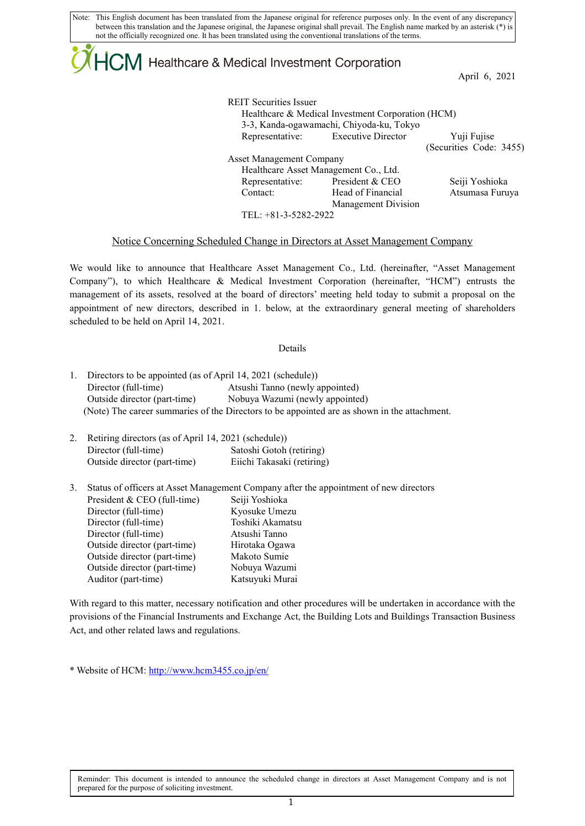Note: This English document has been translated from the Japanese original for reference purposes only. In the event of any discrepancy between this translation and the Japanese original, the Japanese original shall prevail. The English name marked by an asterisk (\*) is not the officially recognized one. It has been translated using the conventional translations of the terms.

## $ICM$  Healthcare & Medical Investment Corporation

April 6, 2021

| <b>REIT Securities Issuer</b>            |                                                   |                         |  |  |  |
|------------------------------------------|---------------------------------------------------|-------------------------|--|--|--|
|                                          | Healthcare & Medical Investment Corporation (HCM) |                         |  |  |  |
| 3-3, Kanda-ogawamachi, Chiyoda-ku, Tokyo |                                                   |                         |  |  |  |
|                                          | Representative: Executive Director                | Yuji Fujise             |  |  |  |
|                                          |                                                   | (Securities Code: 3455) |  |  |  |
| <b>Asset Management Company</b>          |                                                   |                         |  |  |  |
| Healthcare Asset Management Co., Ltd.    |                                                   |                         |  |  |  |
|                                          | Representative: President & CEO                   | Seiji Yoshioka          |  |  |  |
| Contact:                                 | Head of Financial                                 | Atsumasa Furuya         |  |  |  |
|                                          | Management Division                               |                         |  |  |  |
| TEL: $+81-3-5282-2922$                   |                                                   |                         |  |  |  |

## Notice Concerning Scheduled Change in Directors at Asset Management Company

We would like to announce that Healthcare Asset Management Co., Ltd. (hereinafter, "Asset Management Company"), to which Healthcare & Medical Investment Corporation (hereinafter, "HCM") entrusts the management of its assets, resolved at the board of directors' meeting held today to submit a proposal on the appointment of new directors, described in 1. below, at the extraordinary general meeting of shareholders scheduled to be held on April 14, 2021.

## Details

| Director (full-time)         | Atsushi Tanno (newly appointed)                                                              |
|------------------------------|----------------------------------------------------------------------------------------------|
| Outside director (part-time) | Nobuya Wazumi (newly appointed)                                                              |
|                              | (Note) The career summaries of the Directors to be appointed are as shown in the attachment. |

| 2. Retiring directors (as of April 14, 2021 (schedule)) |                            |
|---------------------------------------------------------|----------------------------|
| Director (full-time)                                    | Satoshi Gotoh (retiring)   |
| Outside director (part-time)                            | Eiichi Takasaki (retiring) |

| 3. | Status of officers at Asset Management Company after the appointment of new directors |                  |  |
|----|---------------------------------------------------------------------------------------|------------------|--|
|    | President & CEO (full-time)                                                           | Seiji Yoshioka   |  |
|    | Director (full-time)                                                                  | Kyosuke Umezu    |  |
|    | Director (full-time)                                                                  | Toshiki Akamatsu |  |
|    | Director (full-time)                                                                  | Atsushi Tanno    |  |
|    | Outside director (part-time)                                                          | Hirotaka Ogawa   |  |
|    | Outside director (part-time)                                                          | Makoto Sumie     |  |
|    | Outside director (part-time)                                                          | Nobuya Wazumi    |  |
|    | Auditor (part-time)                                                                   | Katsuyuki Murai  |  |

With regard to this matter, necessary notification and other procedures will be undertaken in accordance with the provisions of the Financial Instruments and Exchange Act, the Building Lots and Buildings Transaction Business Act, and other related laws and regulations.

\* Website of HCM[: http://www.hcm3455.co.jp/en/](http://www.hcm3455.co.jp/en/)